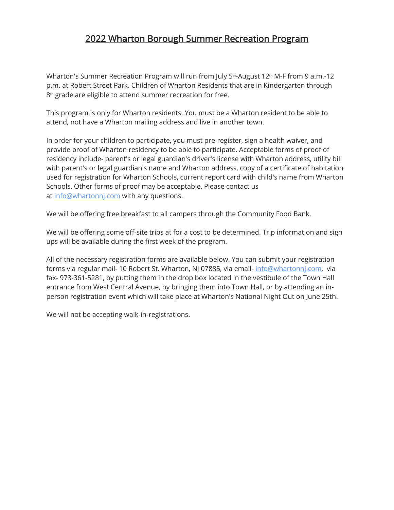## 2022 Wharton Borough Summer Recreation Program

Wharton's Summer Recreation Program will run from July 5<sup>th</sup>-August 12<sup>th</sup> M-F from 9 a.m.-12 p.m. at Robert Street Park. Children of Wharton Residents that are in Kindergarten through 8<sup>th</sup> grade are eligible to attend summer recreation for free.

This program is only for Wharton residents. You must be a Wharton resident to be able to attend, not have a Wharton mailing address and live in another town.

In order for your children to participate, you must pre-register, sign a health waiver, and provide proof of Wharton residency to be able to participate. Acceptable forms of proof of residency include- parent's or legal guardian's driver's license with Wharton address, utility bill with parent's or legal guardian's name and Wharton address, copy of a certificate of habitation used for registration for Wharton Schools, current report card with child's name from Wharton Schools. Other forms of proof may be acceptable. Please contact us at [info@whartonnj.com](mailto:info@whartonnj.com) with any questions.

We will be offering free breakfast to all campers through the Community Food Bank.

We will be offering some off-site trips at for a cost to be determined. Trip information and sign ups will be available during the first week of the program.

All of the necessary registration forms are available below. You can submit your registration forms via regular mail- 10 Robert St. Wharton, NJ 07885, via email- [info@whartonnj.com,](mailto:info@whartonnj.com) via fax- 973-361-5281, by putting them in the drop box located in the vestibule of the Town Hall entrance from West Central Avenue, by bringing them into Town Hall, or by attending an inperson registration event which will take place at Wharton's National Night Out on June 25th.

We will not be accepting walk-in-registrations.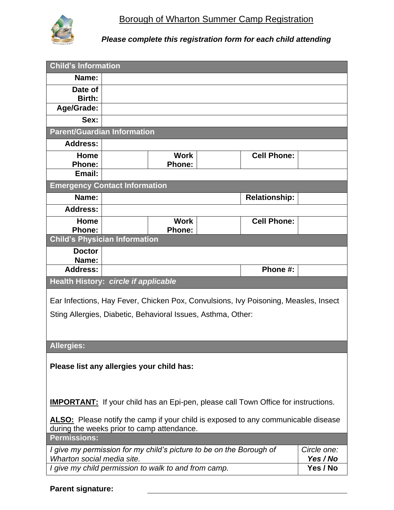

*Please complete this registration form for each child attending*

| <b>Child's Information</b>                                                          |  |                                                                                           |                      |                         |
|-------------------------------------------------------------------------------------|--|-------------------------------------------------------------------------------------------|----------------------|-------------------------|
| Name:                                                                               |  |                                                                                           |                      |                         |
| Date of                                                                             |  |                                                                                           |                      |                         |
| Birth:<br>Age/Grade:                                                                |  |                                                                                           |                      |                         |
| Sex:                                                                                |  |                                                                                           |                      |                         |
| <b>Parent/Guardian Information</b>                                                  |  |                                                                                           |                      |                         |
| <b>Address:</b>                                                                     |  |                                                                                           |                      |                         |
| Home                                                                                |  | <b>Work</b>                                                                               | <b>Cell Phone:</b>   |                         |
| <b>Phone:</b>                                                                       |  | <b>Phone:</b>                                                                             |                      |                         |
| Email:                                                                              |  |                                                                                           |                      |                         |
| <b>Emergency Contact Information</b>                                                |  |                                                                                           |                      |                         |
| Name:                                                                               |  |                                                                                           | <b>Relationship:</b> |                         |
| <b>Address:</b>                                                                     |  |                                                                                           |                      |                         |
| Home                                                                                |  | <b>Work</b>                                                                               | <b>Cell Phone:</b>   |                         |
| <b>Phone:</b>                                                                       |  | <b>Phone:</b>                                                                             |                      |                         |
| <b>Child's Physician Information</b>                                                |  |                                                                                           |                      |                         |
| <b>Doctor</b><br>Name:                                                              |  |                                                                                           |                      |                         |
| <b>Address:</b>                                                                     |  |                                                                                           | Phone #:             |                         |
| Health History: circle if applicable                                                |  |                                                                                           |                      |                         |
| Ear Infections, Hay Fever, Chicken Pox, Convulsions, Ivy Poisoning, Measles, Insect |  |                                                                                           |                      |                         |
|                                                                                     |  |                                                                                           |                      |                         |
| Sting Allergies, Diabetic, Behavioral Issues, Asthma, Other:                        |  |                                                                                           |                      |                         |
|                                                                                     |  |                                                                                           |                      |                         |
|                                                                                     |  |                                                                                           |                      |                         |
|                                                                                     |  |                                                                                           |                      |                         |
| <b>Allergies:</b>                                                                   |  |                                                                                           |                      |                         |
| Please list any allergies your child has:                                           |  |                                                                                           |                      |                         |
|                                                                                     |  |                                                                                           |                      |                         |
|                                                                                     |  |                                                                                           |                      |                         |
|                                                                                     |  |                                                                                           |                      |                         |
|                                                                                     |  | <b>IMPORTANT:</b> If your child has an Epi-pen, please call Town Office for instructions. |                      |                         |
|                                                                                     |  | ALSO: Please notify the camp if your child is exposed to any communicable disease         |                      |                         |
| during the weeks prior to camp attendance.                                          |  |                                                                                           |                      |                         |
| <b>Permissions:</b>                                                                 |  |                                                                                           |                      |                         |
| Wharton social media site.                                                          |  | I give my permission for my child's picture to be on the Borough of                       |                      | Circle one:<br>Yes / No |

**Parent signature:**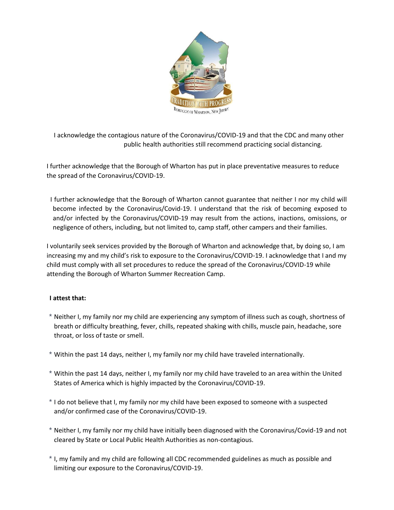

I acknowledge the contagious nature of the Coronavirus/COVID-19 and that the CDC and many other public health authorities still recommend practicing social distancing.

I further acknowledge that the Borough of Wharton has put in place preventative measures to reduce the spread of the Coronavirus/COVID-19.

I further acknowledge that the Borough of Wharton cannot guarantee that neither I nor my child will become infected by the Coronavirus/Covid-19. I understand that the risk of becoming exposed to and/or infected by the Coronavirus/COVID-19 may result from the actions, inactions, omissions, or negligence of others, including, but not limited to, camp staff, other campers and their families.

I voluntarily seek services provided by the Borough of Wharton and acknowledge that, by doing so, I am increasing my and my child's risk to exposure to the Coronavirus/COVID-19. I acknowledge that I and my child must comply with all set procedures to reduce the spread of the Coronavirus/COVID-19 while attending the Borough of Wharton Summer Recreation Camp.

## **I attest that:**

- \* Neither I, my family nor my child are experiencing any symptom of illness such as cough, shortness of breath or difficulty breathing, fever, chills, repeated shaking with chills, muscle pain, headache, sore throat, or loss of taste or smell.
- \* Within the past 14 days, neither I, my family nor my child have traveled internationally.
- \* Within the past 14 days, neither I, my family nor my child have traveled to an area within the United States of America which is highly impacted by the Coronavirus/COVID-19.
- \* I do not believe that I, my family nor my child have been exposed to someone with a suspected and/or confirmed case of the Coronavirus/COVID-19.
- \* Neither I, my family nor my child have initially been diagnosed with the Coronavirus/Covid-19 and not cleared by State or Local Public Health Authorities as non-contagious.
- \* I, my family and my child are following all CDC recommended guidelines as much as possible and limiting our exposure to the Coronavirus/COVID-19.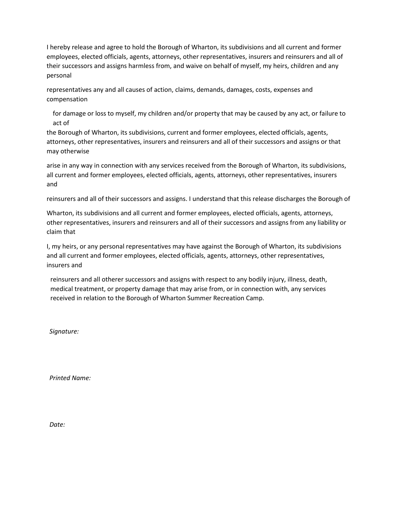I hereby release and agree to hold the Borough of Wharton, its subdivisions and all current and former employees, elected officials, agents, attorneys, other representatives, insurers and reinsurers and all of their successors and assigns harmless from, and waive on behalf of myself, my heirs, children and any personal

representatives any and all causes of action, claims, demands, damages, costs, expenses and compensation

for damage or loss to myself, my children and/or property that may be caused by any act, or failure to act of

the Borough of Wharton, its subdivisions, current and former employees, elected officials, agents, attorneys, other representatives, insurers and reinsurers and all of their successors and assigns or that may otherwise

arise in any way in connection with any services received from the Borough of Wharton, its subdivisions, all current and former employees, elected officials, agents, attorneys, other representatives, insurers and

reinsurers and all of their successors and assigns. I understand that this release discharges the Borough of

Wharton, its subdivisions and all current and former employees, elected officials, agents, attorneys, other representatives, insurers and reinsurers and all of their successors and assigns from any liability or claim that

I, my heirs, or any personal representatives may have against the Borough of Wharton, its subdivisions and all current and former employees, elected officials, agents, attorneys, other representatives, insurers and

reinsurers and all otherer successors and assigns with respect to any bodily injury, illness, death, medical treatment, or property damage that may arise from, or in connection with, any services received in relation to the Borough of Wharton Summer Recreation Camp.

*Signature:* 

*Printed Name:* 

*Date:*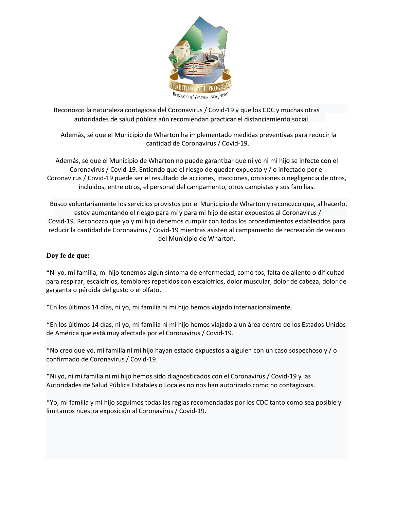

Reconozco la naturaleza contagiosa del Coronavirus / Covid-19 y que los CDC y muchas otras autoridades de salud pública aún recomiendan practicar el distanciamiento social.

Además, sé que el Municipio de Wharton ha implementado medidas preventivas para reducir la cantidad de Coronavirus / Covid-19.

Además, sé que el Municipio de Wharton no puede garantizar que ni yo ni mi hijo se infecte con el Coronavirus / Covid-19. Entiendo que el riesgo de quedar expuesto y / o infectado por el Coronavirus / Covid-19 puede ser el resultado de acciones, inacciones, omisiones o negligencia de otros, incluidos, entre otros, el personal del campamento, otros campistas y sus familias.

Busco voluntariamente los servicios provistos por el Municipio de Wharton y reconozco que, al hacerlo, estoy aumentando el riesgo para mí y para mi hijo de estar expuestos al Coronavirus / Covid-19. Reconozco que yo y mi hijo debemos cumplir con todos los procedimientos establecidos para reducir la cantidad de Coronavirus / Covid-19 mientras asisten al campamento de recreación de verano del Municipio de Wharton.

## **Doy fe de que:**

\*Ni yo, mi familia, mi hijo tenemos algún síntoma de enfermedad, como tos, falta de aliento o dificultad para respirar, escalofríos, temblores repetidos con escalofríos, dolor muscular, dolor de cabeza, dolor de garganta o pérdida del gusto o el olfato.

\*En los últimos 14 días, ni yo, mi familia ni mi hijo hemos viajado internacionalmente.

\*En los últimos 14 días, ni yo, mi familia ni mi hijo hemos viajado a un área dentro de los Estados Unidos de América que está muy afectada por el Coronavirus / Covid-19.

\*No creo que yo, mi familia ni mi hijo hayan estado expuestos a alguien con un caso sospechoso y / o confirmado de Coronavirus / Covid-19.

\*Ni yo, ni mi familia ni mi hijo hemos sido diagnosticados con el Coronavirus / Covid-19 y las Autoridades de Salud Pública Estatales o Locales no nos han autorizado como no contagiosos.

\*Yo, mi familia y mi hijo seguimos todas las reglas recomendadas por los CDC tanto como sea posible y limitamos nuestra exposición al Coronavirus / Covid-19.